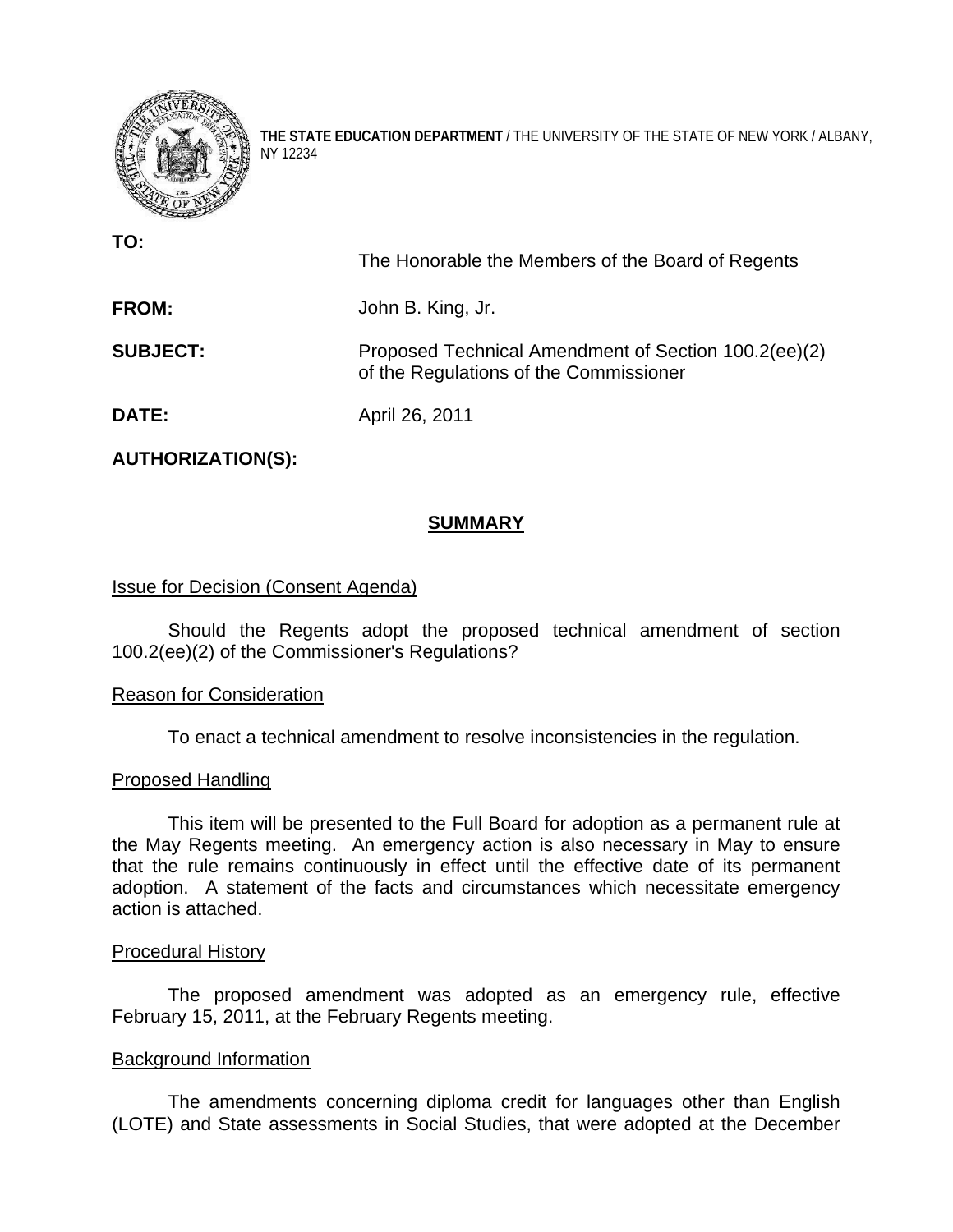

**THE STATE EDUCATION DEPARTMENT** / THE UNIVERSITY OF THE STATE OF NEW YORK / ALBANY, NY 12234

**TO:** 

The Honorable the Members of the Board of Regents

**FROM:** John B. King, Jr.

**SUBJECT:** Proposed Technical Amendment of Section 100.2(ee)(2) of the Regulations of the Commissioner

**DATE:** April 26, 2011

**AUTHORIZATION(S):** 

# **SUMMARY**

# Issue for Decision (Consent Agenda)

 Should the Regents adopt the proposed technical amendment of section 100.2(ee)(2) of the Commissioner's Regulations?

# Reason for Consideration

To enact a technical amendment to resolve inconsistencies in the regulation.

# Proposed Handling

 This item will be presented to the Full Board for adoption as a permanent rule at the May Regents meeting. An emergency action is also necessary in May to ensure that the rule remains continuously in effect until the effective date of its permanent adoption. A statement of the facts and circumstances which necessitate emergency action is attached.

#### Procedural History

The proposed amendment was adopted as an emergency rule, effective February 15, 2011, at the February Regents meeting.

# Background Information

 The amendments concerning diploma credit for languages other than English (LOTE) and State assessments in Social Studies, that were adopted at the December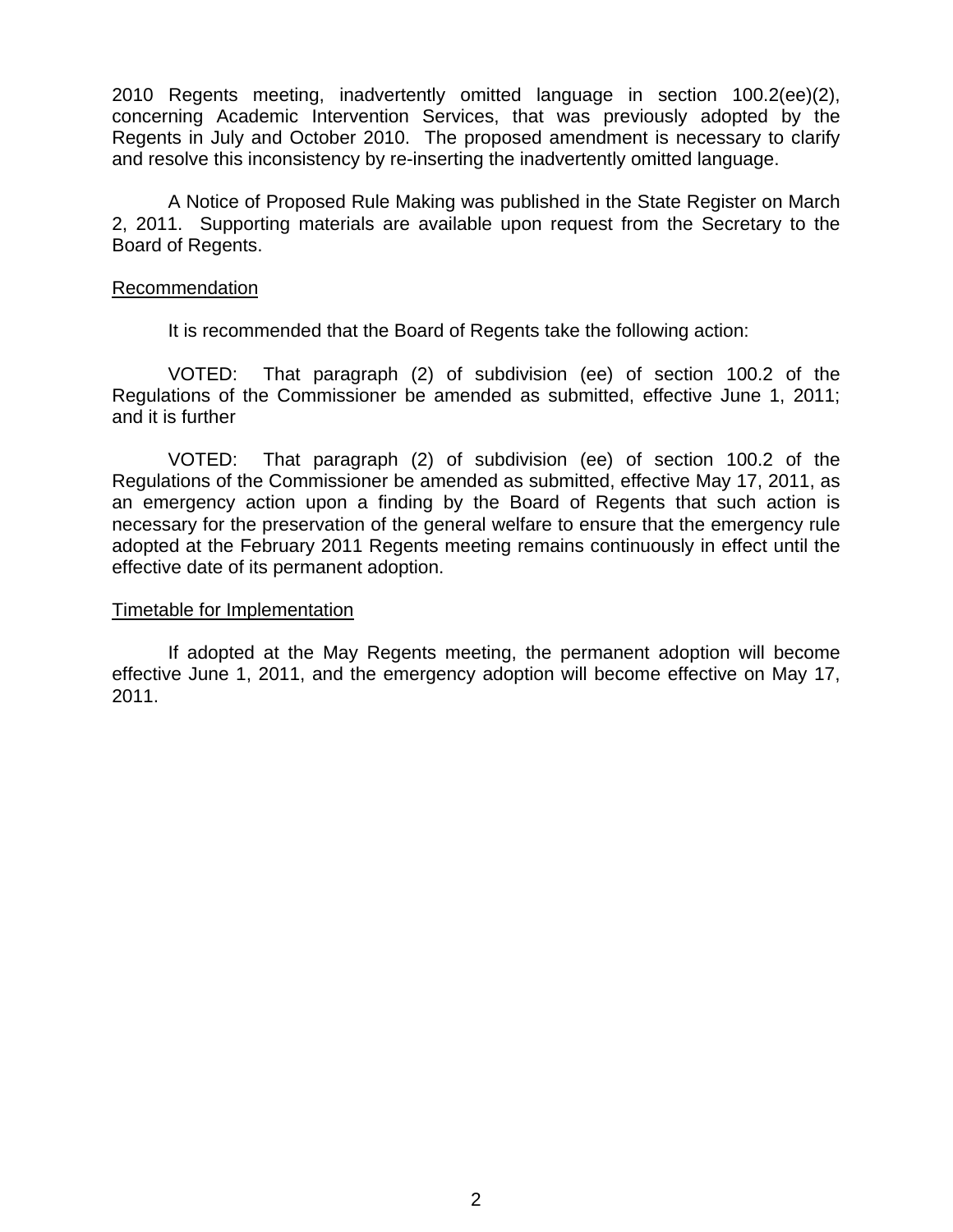2010 Regents meeting, inadvertently omitted language in section 100.2(ee)(2), concerning Academic Intervention Services, that was previously adopted by the Regents in July and October 2010. The proposed amendment is necessary to clarify and resolve this inconsistency by re-inserting the inadvertently omitted language.

A Notice of Proposed Rule Making was published in the State Register on March 2, 2011. Supporting materials are available upon request from the Secretary to the Board of Regents.

#### Recommendation

It is recommended that the Board of Regents take the following action:

 VOTED: That paragraph (2) of subdivision (ee) of section 100.2 of the Regulations of the Commissioner be amended as submitted, effective June 1, 2011; and it is further

 VOTED: That paragraph (2) of subdivision (ee) of section 100.2 of the Regulations of the Commissioner be amended as submitted, effective May 17, 2011, as an emergency action upon a finding by the Board of Regents that such action is necessary for the preservation of the general welfare to ensure that the emergency rule adopted at the February 2011 Regents meeting remains continuously in effect until the effective date of its permanent adoption.

#### Timetable for Implementation

 If adopted at the May Regents meeting, the permanent adoption will become effective June 1, 2011, and the emergency adoption will become effective on May 17, 2011.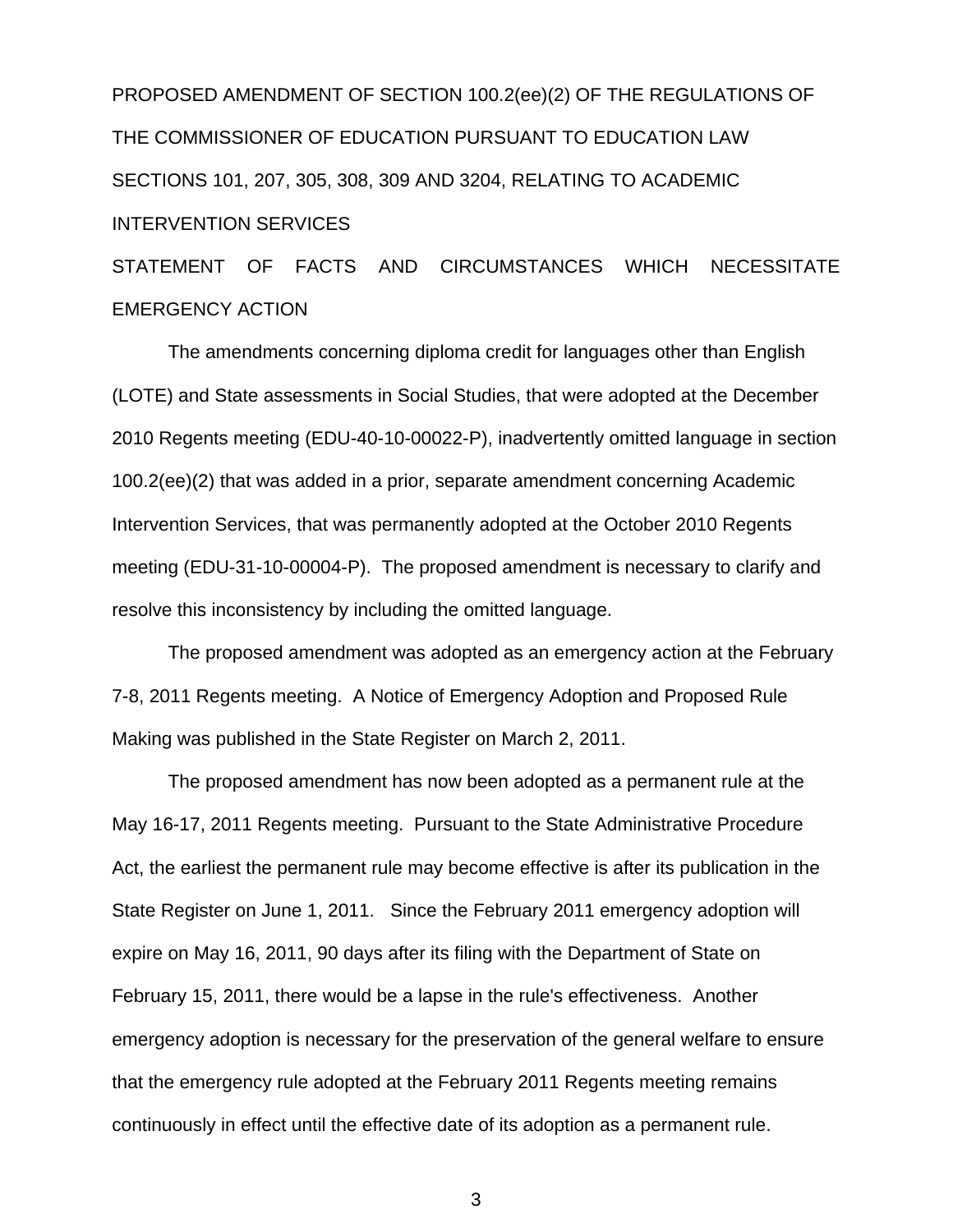PROPOSED AMENDMENT OF SECTION 100.2(ee)(2) OF THE REGULATIONS OF THE COMMISSIONER OF EDUCATION PURSUANT TO EDUCATION LAW SECTIONS 101, 207, 305, 308, 309 AND 3204, RELATING TO ACADEMIC INTERVENTION SERVICES

STATEMENT OF FACTS AND CIRCUMSTANCES WHICH NECESSITATE EMERGENCY ACTION

 The amendments concerning diploma credit for languages other than English (LOTE) and State assessments in Social Studies, that were adopted at the December 2010 Regents meeting (EDU-40-10-00022-P), inadvertently omitted language in section 100.2(ee)(2) that was added in a prior, separate amendment concerning Academic Intervention Services, that was permanently adopted at the October 2010 Regents meeting (EDU-31-10-00004-P). The proposed amendment is necessary to clarify and resolve this inconsistency by including the omitted language.

 The proposed amendment was adopted as an emergency action at the February 7-8, 2011 Regents meeting. A Notice of Emergency Adoption and Proposed Rule Making was published in the State Register on March 2, 2011.

 The proposed amendment has now been adopted as a permanent rule at the May 16-17, 2011 Regents meeting. Pursuant to the State Administrative Procedure Act, the earliest the permanent rule may become effective is after its publication in the State Register on June 1, 2011. Since the February 2011 emergency adoption will expire on May 16, 2011, 90 days after its filing with the Department of State on February 15, 2011, there would be a lapse in the rule's effectiveness. Another emergency adoption is necessary for the preservation of the general welfare to ensure that the emergency rule adopted at the February 2011 Regents meeting remains continuously in effect until the effective date of its adoption as a permanent rule.

3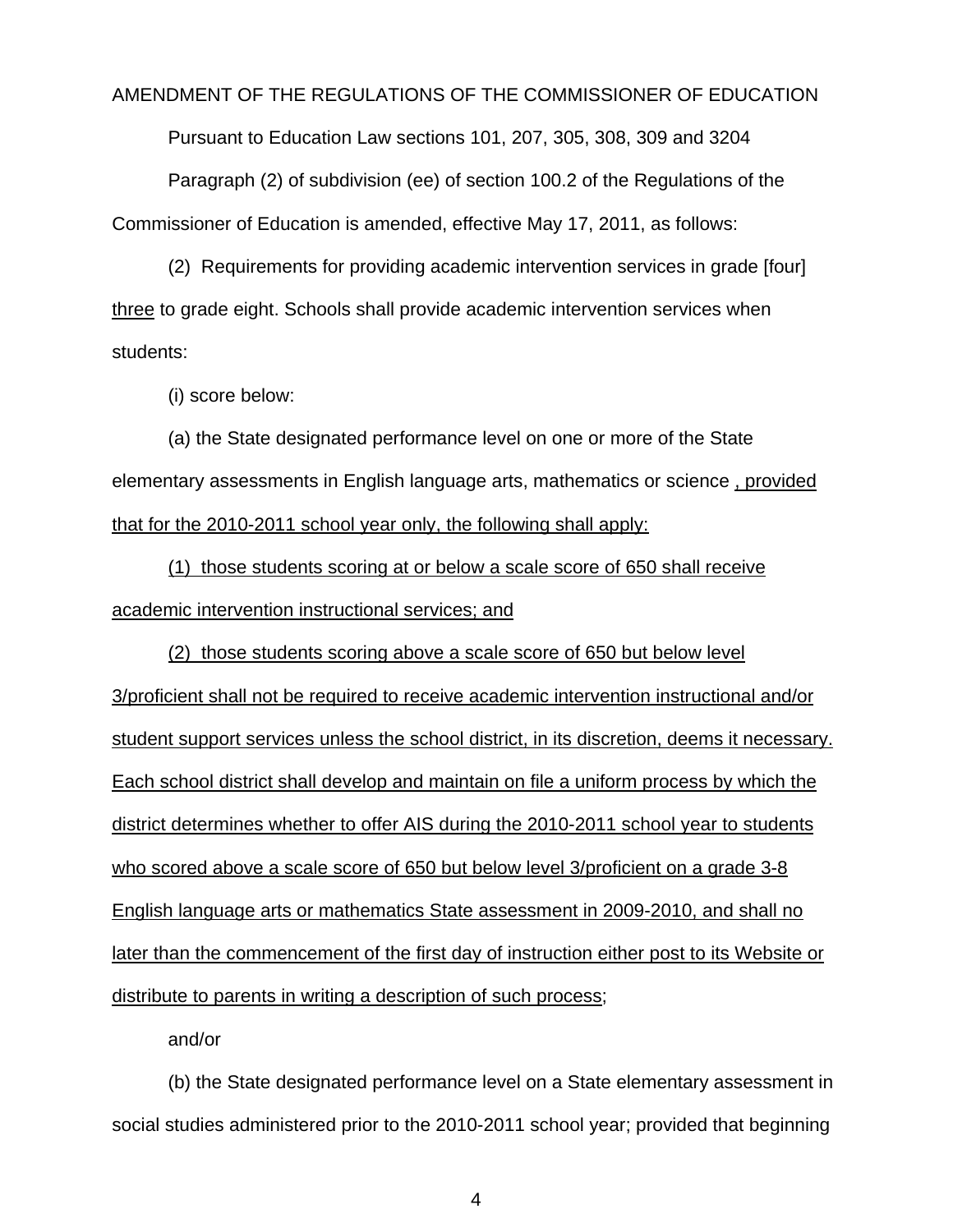#### AMENDMENT OF THE REGULATIONS OF THE COMMISSIONER OF EDUCATION

Pursuant to Education Law sections 101, 207, 305, 308, 309 and 3204

 Paragraph (2) of subdivision (ee) of section 100.2 of the Regulations of the Commissioner of Education is amended, effective May 17, 2011, as follows:

 (2) Requirements for providing academic intervention services in grade [four] three to grade eight. Schools shall provide academic intervention services when students:

(i) score below:

 (a) the State designated performance level on one or more of the State elementary assessments in English language arts, mathematics or science , provided that for the 2010-2011 school year only, the following shall apply:

(1) those students scoring at or below a scale score of 650 shall receive academic intervention instructional services; and

(2) those students scoring above a scale score of 650 but below level 3/proficient shall not be required to receive academic intervention instructional and/or student support services unless the school district, in its discretion, deems it necessary. Each school district shall develop and maintain on file a uniform process by which the district determines whether to offer AIS during the 2010-2011 school year to students who scored above a scale score of 650 but below level 3/proficient on a grade 3-8 English language arts or mathematics State assessment in 2009-2010, and shall no later than the commencement of the first day of instruction either post to its Website or distribute to parents in writing a description of such process;

and/or

 (b) the State designated performance level on a State elementary assessment in social studies administered prior to the 2010-2011 school year; provided that beginning

4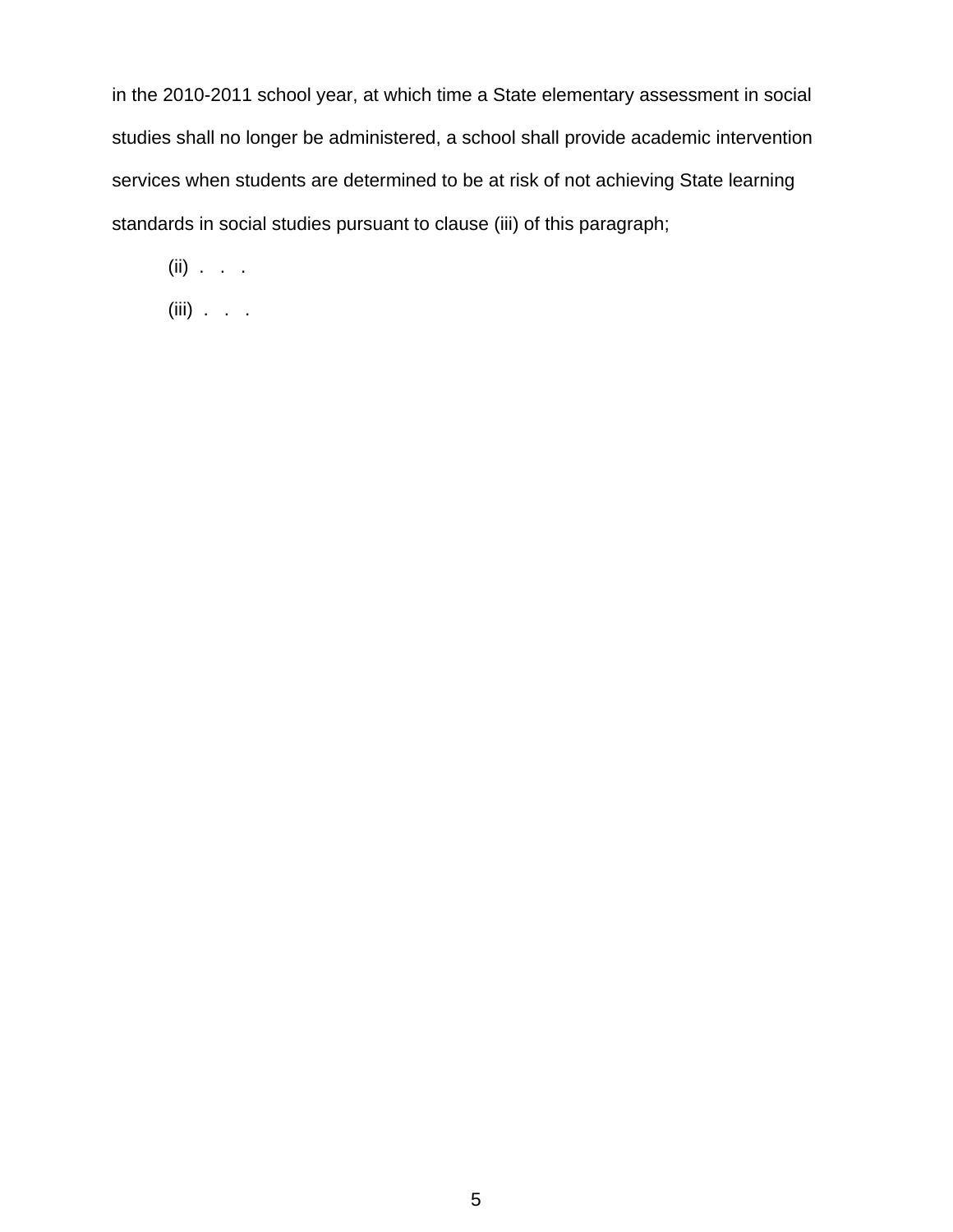in the 2010-2011 school year, at which time a State elementary assessment in social studies shall no longer be administered, a school shall provide academic intervention services when students are determined to be at risk of not achieving State learning standards in social studies pursuant to clause (iii) of this paragraph;

 $(ii)$  . . .

(iii) . . .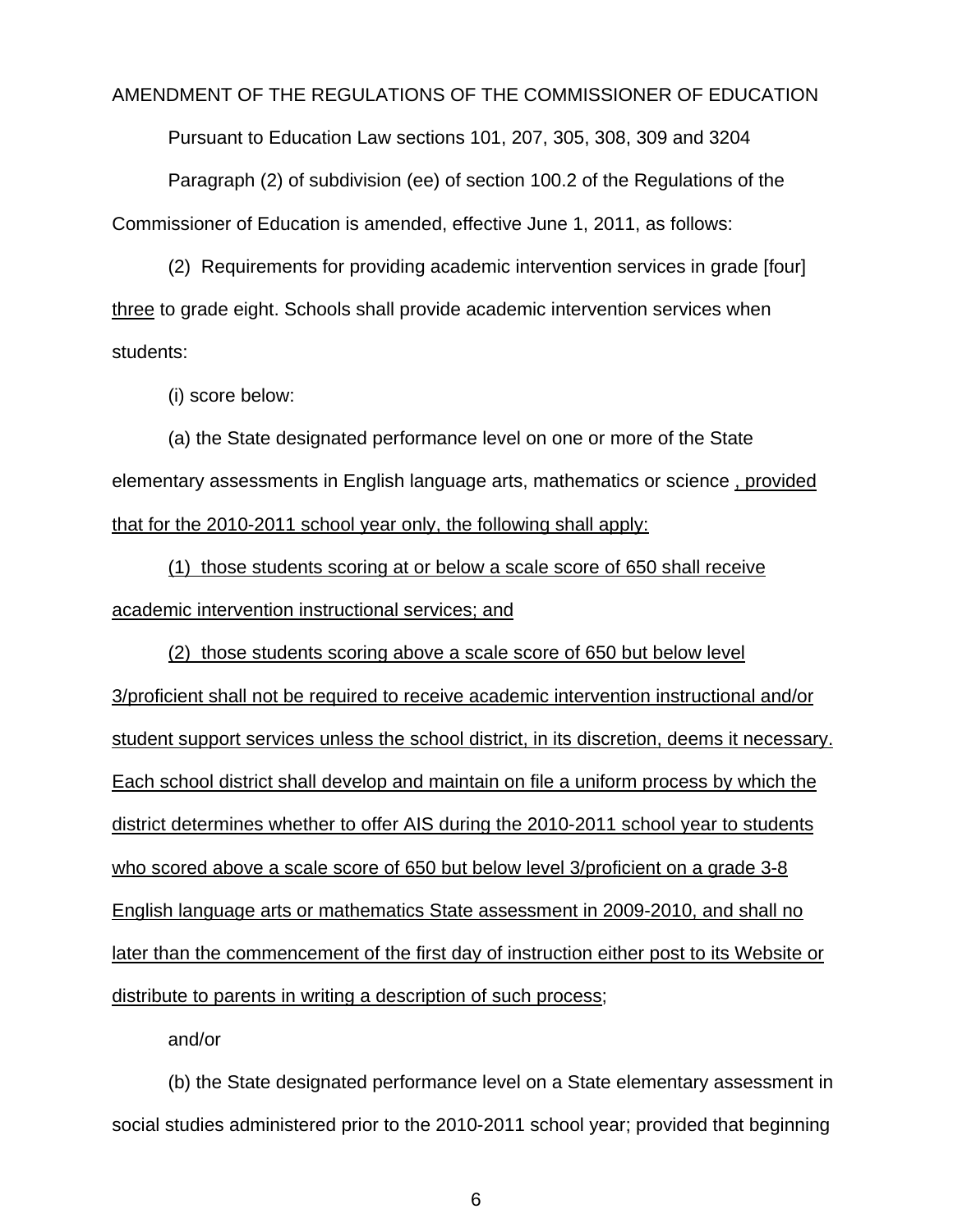#### AMENDMENT OF THE REGULATIONS OF THE COMMISSIONER OF EDUCATION

Pursuant to Education Law sections 101, 207, 305, 308, 309 and 3204

 Paragraph (2) of subdivision (ee) of section 100.2 of the Regulations of the Commissioner of Education is amended, effective June 1, 2011, as follows:

 (2) Requirements for providing academic intervention services in grade [four] three to grade eight. Schools shall provide academic intervention services when students:

(i) score below:

 (a) the State designated performance level on one or more of the State elementary assessments in English language arts, mathematics or science , provided that for the 2010-2011 school year only, the following shall apply:

(1) those students scoring at or below a scale score of 650 shall receive academic intervention instructional services; and

(2) those students scoring above a scale score of 650 but below level 3/proficient shall not be required to receive academic intervention instructional and/or student support services unless the school district, in its discretion, deems it necessary. Each school district shall develop and maintain on file a uniform process by which the district determines whether to offer AIS during the 2010-2011 school year to students who scored above a scale score of 650 but below level 3/proficient on a grade 3-8 English language arts or mathematics State assessment in 2009-2010, and shall no later than the commencement of the first day of instruction either post to its Website or distribute to parents in writing a description of such process;

and/or

 (b) the State designated performance level on a State elementary assessment in social studies administered prior to the 2010-2011 school year; provided that beginning

6